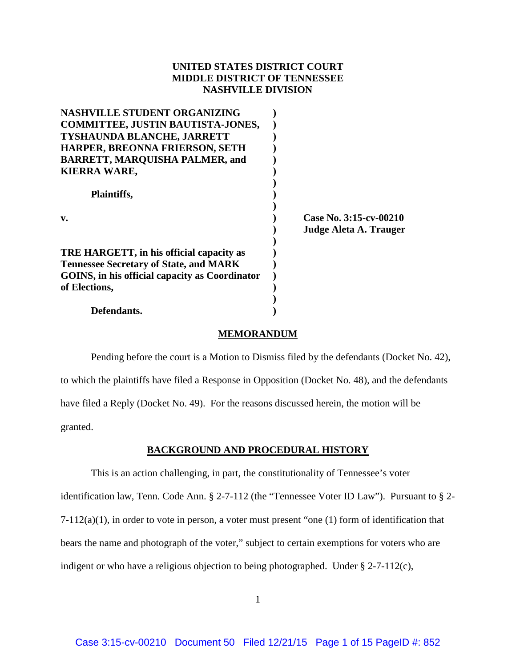# **UNITED STATES DISTRICT COURT MIDDLE DISTRICT OF TENNESSEE NASHVILLE DIVISION**

| <b>NASHVILLE STUDENT ORGANIZING</b>            |                        |
|------------------------------------------------|------------------------|
| <b>COMMITTEE, JUSTIN BAUTISTA-JONES,</b>       |                        |
| TYSHAUNDA BLANCHE, JARRETT                     |                        |
| HARPER, BREONNA FRIERSON, SETH                 |                        |
| <b>BARRETT, MARQUISHA PALMER, and</b>          |                        |
| <b>KIERRA WARE,</b>                            |                        |
|                                                |                        |
| <b>Plaintiffs,</b>                             |                        |
|                                                |                        |
| $\mathbf{v}$ .                                 | Case No. 3:15-cv-00210 |
|                                                | Judge Aleta A. Trauger |
|                                                |                        |
| TRE HARGETT, in his official capacity as       |                        |
| <b>Tennessee Secretary of State, and MARK</b>  |                        |
| GOINS, in his official capacity as Coordinator |                        |
| of Elections,                                  |                        |
|                                                |                        |
| Defendants.                                    |                        |

## **MEMORANDUM**

Pending before the court is a Motion to Dismiss filed by the defendants (Docket No. 42), to which the plaintiffs have filed a Response in Opposition (Docket No. 48), and the defendants have filed a Reply (Docket No. 49). For the reasons discussed herein, the motion will be granted.

## **BACKGROUND AND PROCEDURAL HISTORY**

This is an action challenging, in part, the constitutionality of Tennessee's voter identification law, Tenn. Code Ann. § 2-7-112 (the "Tennessee Voter ID Law"). Pursuant to § 2- 7-112(a)(1), in order to vote in person, a voter must present "one (1) form of identification that bears the name and photograph of the voter," subject to certain exemptions for voters who are indigent or who have a religious objection to being photographed. Under § 2-7-112(c),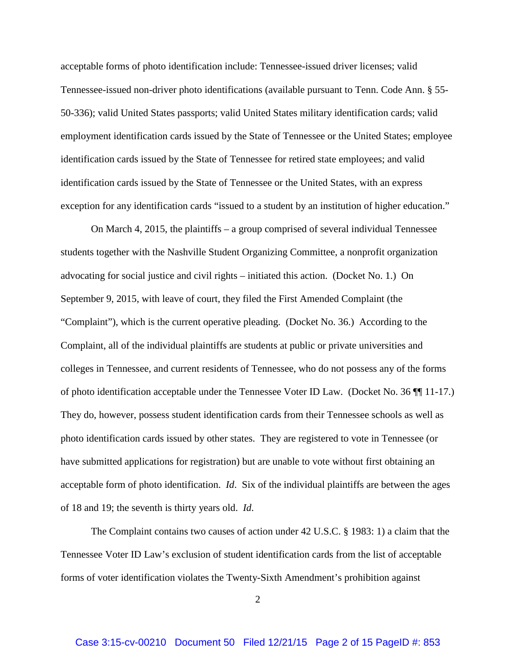acceptable forms of photo identification include: Tennessee-issued driver licenses; valid Tennessee-issued non-driver photo identifications (available pursuant to Tenn. Code Ann. § 55- 50-336); valid United States passports; valid United States military identification cards; valid employment identification cards issued by the State of Tennessee or the United States; employee identification cards issued by the State of Tennessee for retired state employees; and valid identification cards issued by the State of Tennessee or the United States, with an express exception for any identification cards "issued to a student by an institution of higher education."

On March 4, 2015, the plaintiffs – a group comprised of several individual Tennessee students together with the Nashville Student Organizing Committee, a nonprofit organization advocating for social justice and civil rights – initiated this action. (Docket No. 1.) On September 9, 2015, with leave of court, they filed the First Amended Complaint (the "Complaint"), which is the current operative pleading. (Docket No. 36.) According to the Complaint, all of the individual plaintiffs are students at public or private universities and colleges in Tennessee, and current residents of Tennessee, who do not possess any of the forms of photo identification acceptable under the Tennessee Voter ID Law. (Docket No. 36 ¶¶ 11-17.) They do, however, possess student identification cards from their Tennessee schools as well as photo identification cards issued by other states. They are registered to vote in Tennessee (or have submitted applications for registration) but are unable to vote without first obtaining an acceptable form of photo identification. *Id*. Six of the individual plaintiffs are between the ages of 18 and 19; the seventh is thirty years old. *Id*.

The Complaint contains two causes of action under 42 U.S.C. § 1983: 1) a claim that the Tennessee Voter ID Law's exclusion of student identification cards from the list of acceptable forms of voter identification violates the Twenty-Sixth Amendment's prohibition against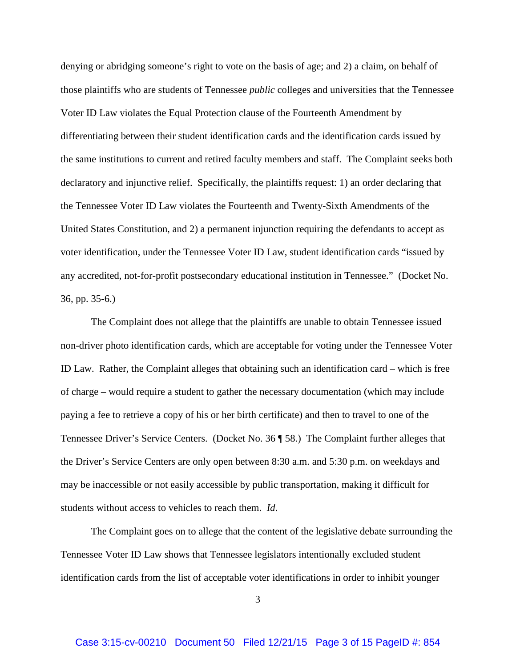denying or abridging someone's right to vote on the basis of age; and 2) a claim, on behalf of those plaintiffs who are students of Tennessee *public* colleges and universities that the Tennessee Voter ID Law violates the Equal Protection clause of the Fourteenth Amendment by differentiating between their student identification cards and the identification cards issued by the same institutions to current and retired faculty members and staff. The Complaint seeks both declaratory and injunctive relief. Specifically, the plaintiffs request: 1) an order declaring that the Tennessee Voter ID Law violates the Fourteenth and Twenty-Sixth Amendments of the United States Constitution, and 2) a permanent injunction requiring the defendants to accept as voter identification, under the Tennessee Voter ID Law, student identification cards "issued by any accredited, not-for-profit postsecondary educational institution in Tennessee." (Docket No. 36, pp. 35-6.)

The Complaint does not allege that the plaintiffs are unable to obtain Tennessee issued non-driver photo identification cards, which are acceptable for voting under the Tennessee Voter ID Law. Rather, the Complaint alleges that obtaining such an identification card – which is free of charge – would require a student to gather the necessary documentation (which may include paying a fee to retrieve a copy of his or her birth certificate) and then to travel to one of the Tennessee Driver's Service Centers. (Docket No. 36 ¶ 58.) The Complaint further alleges that the Driver's Service Centers are only open between 8:30 a.m. and 5:30 p.m. on weekdays and may be inaccessible or not easily accessible by public transportation, making it difficult for students without access to vehicles to reach them. *Id*.

The Complaint goes on to allege that the content of the legislative debate surrounding the Tennessee Voter ID Law shows that Tennessee legislators intentionally excluded student identification cards from the list of acceptable voter identifications in order to inhibit younger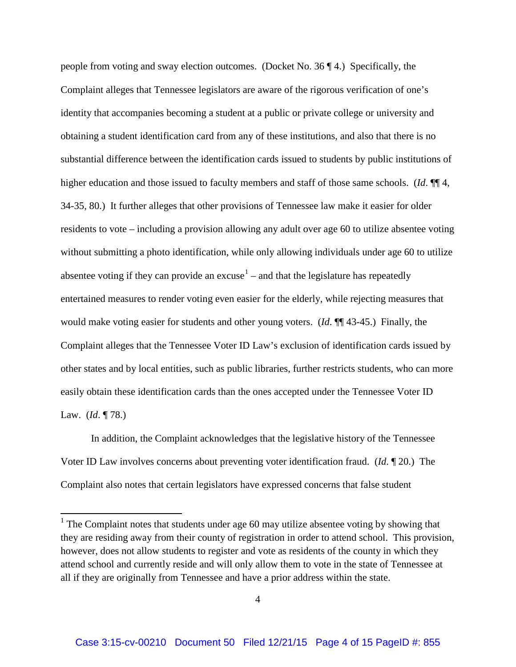people from voting and sway election outcomes. (Docket No. 36 ¶ 4.) Specifically, the Complaint alleges that Tennessee legislators are aware of the rigorous verification of one's identity that accompanies becoming a student at a public or private college or university and obtaining a student identification card from any of these institutions, and also that there is no substantial difference between the identification cards issued to students by public institutions of higher education and those issued to faculty members and staff of those same schools. (*Id*. ¶¶ 4, 34-35, 80.) It further alleges that other provisions of Tennessee law make it easier for older residents to vote – including a provision allowing any adult over age 60 to utilize absentee voting without submitting a photo identification, while only allowing individuals under age 60 to utilize absentee voting if they can provide an excuse<sup>1</sup> – and that the legislature has repeatedly entertained measures to render voting even easier for the elderly, while rejecting measures that would make voting easier for students and other young voters. (*Id*. ¶¶ 43-45.) Finally, the Complaint alleges that the Tennessee Voter ID Law's exclusion of identification cards issued by other states and by local entities, such as public libraries, further restricts students, who can more easily obtain these identification cards than the ones accepted under the Tennessee Voter ID Law. (*Id*. ¶ 78.)

In addition, the Complaint acknowledges that the legislative history of the Tennessee Voter ID Law involves concerns about preventing voter identification fraud. (*Id*. ¶ 20.) The Complaint also notes that certain legislators have expressed concerns that false student

 $\overline{\phantom{a}}$ 

<sup>&</sup>lt;sup>1</sup> The Complaint notes that students under age 60 may utilize absentee voting by showing that they are residing away from their county of registration in order to attend school. This provision, however, does not allow students to register and vote as residents of the county in which they attend school and currently reside and will only allow them to vote in the state of Tennessee at all if they are originally from Tennessee and have a prior address within the state.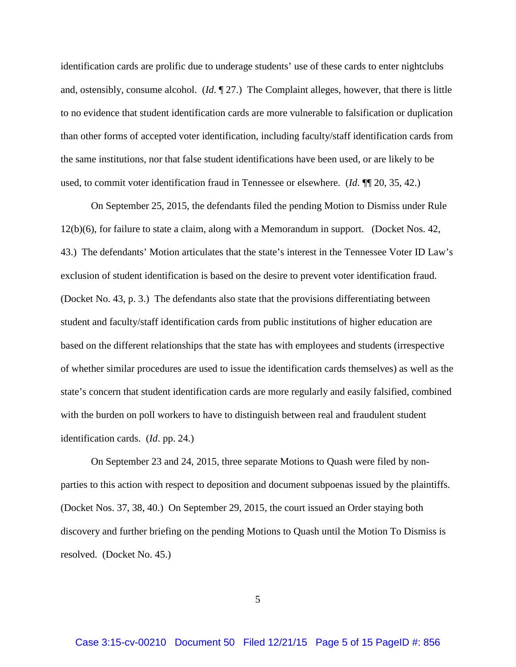identification cards are prolific due to underage students' use of these cards to enter nightclubs and, ostensibly, consume alcohol. (*Id*. ¶ 27.) The Complaint alleges, however, that there is little to no evidence that student identification cards are more vulnerable to falsification or duplication than other forms of accepted voter identification, including faculty/staff identification cards from the same institutions, nor that false student identifications have been used, or are likely to be used, to commit voter identification fraud in Tennessee or elsewhere. (*Id*. ¶¶ 20, 35, 42.)

On September 25, 2015, the defendants filed the pending Motion to Dismiss under Rule 12(b)(6), for failure to state a claim, along with a Memorandum in support. (Docket Nos. 42, 43.) The defendants' Motion articulates that the state's interest in the Tennessee Voter ID Law's exclusion of student identification is based on the desire to prevent voter identification fraud. (Docket No. 43, p. 3.) The defendants also state that the provisions differentiating between student and faculty/staff identification cards from public institutions of higher education are based on the different relationships that the state has with employees and students (irrespective of whether similar procedures are used to issue the identification cards themselves) as well as the state's concern that student identification cards are more regularly and easily falsified, combined with the burden on poll workers to have to distinguish between real and fraudulent student identification cards. (*Id*. pp. 24.)

On September 23 and 24, 2015, three separate Motions to Quash were filed by nonparties to this action with respect to deposition and document subpoenas issued by the plaintiffs. (Docket Nos. 37, 38, 40.) On September 29, 2015, the court issued an Order staying both discovery and further briefing on the pending Motions to Quash until the Motion To Dismiss is resolved. (Docket No. 45.)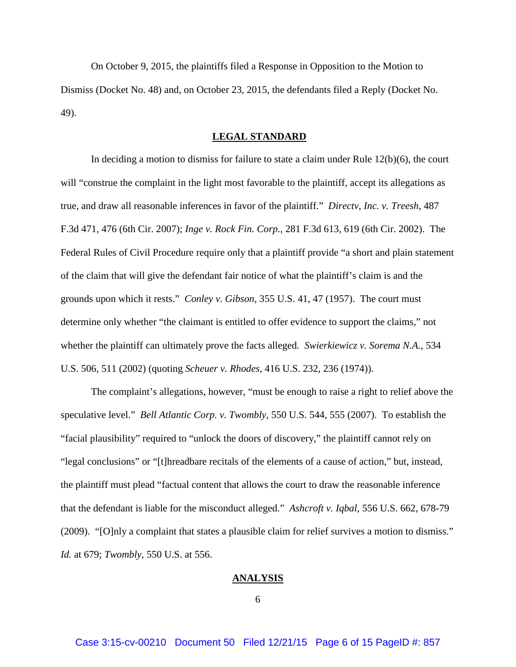On October 9, 2015, the plaintiffs filed a Response in Opposition to the Motion to Dismiss (Docket No. 48) and, on October 23, 2015, the defendants filed a Reply (Docket No. 49).

### **LEGAL STANDARD**

In deciding a motion to dismiss for failure to state a claim under Rule 12(b)(6), the court will "construe the complaint in the light most favorable to the plaintiff, accept its allegations as true, and draw all reasonable inferences in favor of the plaintiff." *Directv, Inc. v. Treesh*, 487 F.3d 471, 476 (6th Cir. 2007); *Inge v. Rock Fin. Corp.*, 281 F.3d 613, 619 (6th Cir. 2002). The Federal Rules of Civil Procedure require only that a plaintiff provide "a short and plain statement of the claim that will give the defendant fair notice of what the plaintiff's claim is and the grounds upon which it rests." *Conley v. Gibson*, 355 U.S. 41, 47 (1957). The court must determine only whether "the claimant is entitled to offer evidence to support the claims," not whether the plaintiff can ultimately prove the facts alleged. *Swierkiewicz v. Sorema N.A.*, 534 U.S. 506, 511 (2002) (quoting *Scheuer v. Rhodes*, 416 U.S. 232, 236 (1974)).

The complaint's allegations, however, "must be enough to raise a right to relief above the speculative level." *Bell Atlantic Corp. v. Twombly*, 550 U.S. 544, 555 (2007). To establish the "facial plausibility" required to "unlock the doors of discovery," the plaintiff cannot rely on "legal conclusions" or "[t]hreadbare recitals of the elements of a cause of action," but, instead, the plaintiff must plead "factual content that allows the court to draw the reasonable inference that the defendant is liable for the misconduct alleged." *Ashcroft v. Iqbal*, 556 U.S. 662, 678-79 (2009). "[O]nly a complaint that states a plausible claim for relief survives a motion to dismiss." *Id.* at 679; *Twombly*, 550 U.S. at 556.

#### **ANALYSIS**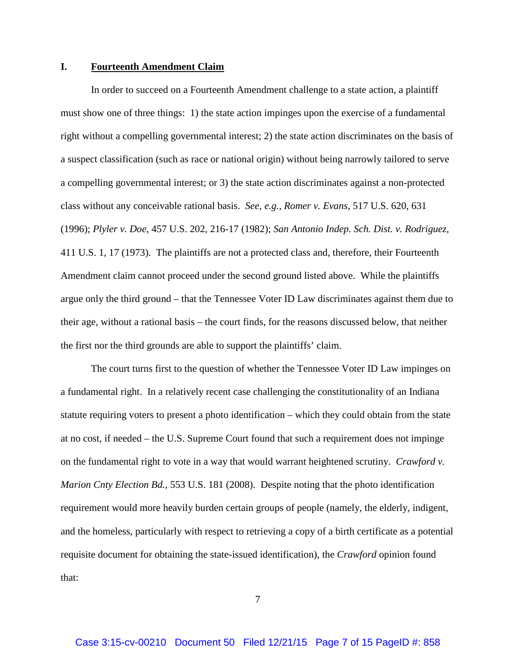### **I. Fourteenth Amendment Claim**

In order to succeed on a Fourteenth Amendment challenge to a state action, a plaintiff must show one of three things: 1) the state action impinges upon the exercise of a fundamental right without a compelling governmental interest; 2) the state action discriminates on the basis of a suspect classification (such as race or national origin) without being narrowly tailored to serve a compelling governmental interest; or 3) the state action discriminates against a non-protected class without any conceivable rational basis. *See, e.g., Romer v. Evans*, 517 U.S. 620, 631 (1996); *Plyler v. Doe*, 457 U.S. 202, 216-17 (1982); *San Antonio Indep. Sch. Dist. v. Rodriguez*, 411 U.S. 1, 17 (1973). The plaintiffs are not a protected class and, therefore, their Fourteenth Amendment claim cannot proceed under the second ground listed above. While the plaintiffs argue only the third ground – that the Tennessee Voter ID Law discriminates against them due to their age, without a rational basis – the court finds, for the reasons discussed below, that neither the first nor the third grounds are able to support the plaintiffs' claim.

The court turns first to the question of whether the Tennessee Voter ID Law impinges on a fundamental right. In a relatively recent case challenging the constitutionality of an Indiana statute requiring voters to present a photo identification – which they could obtain from the state at no cost, if needed – the U.S. Supreme Court found that such a requirement does not impinge on the fundamental right to vote in a way that would warrant heightened scrutiny. *Crawford v. Marion Cnty Election Bd.*, 553 U.S. 181 (2008). Despite noting that the photo identification requirement would more heavily burden certain groups of people (namely, the elderly, indigent, and the homeless, particularly with respect to retrieving a copy of a birth certificate as a potential requisite document for obtaining the state-issued identification), the *Crawford* opinion found that: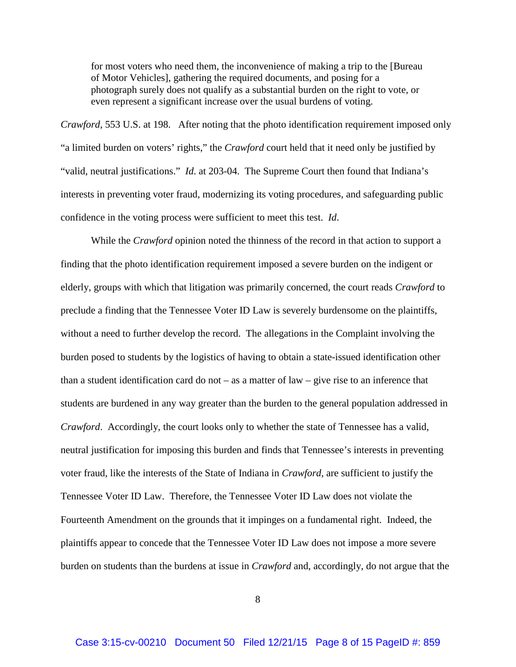for most voters who need them, the inconvenience of making a trip to the [Bureau of Motor Vehicles], gathering the required documents, and posing for a photograph surely does not qualify as a substantial burden on the right to vote, or even represent a significant increase over the usual burdens of voting.

*Crawford*, 553 U.S. at 198. After noting that the photo identification requirement imposed only "a limited burden on voters' rights," the *Crawford* court held that it need only be justified by "valid, neutral justifications." *Id*. at 203-04. The Supreme Court then found that Indiana's interests in preventing voter fraud, modernizing its voting procedures, and safeguarding public confidence in the voting process were sufficient to meet this test. *Id*.

While the *Crawford* opinion noted the thinness of the record in that action to support a finding that the photo identification requirement imposed a severe burden on the indigent or elderly, groups with which that litigation was primarily concerned, the court reads *Crawford* to preclude a finding that the Tennessee Voter ID Law is severely burdensome on the plaintiffs, without a need to further develop the record. The allegations in the Complaint involving the burden posed to students by the logistics of having to obtain a state-issued identification other than a student identification card do not – as a matter of law – give rise to an inference that students are burdened in any way greater than the burden to the general population addressed in *Crawford*. Accordingly, the court looks only to whether the state of Tennessee has a valid, neutral justification for imposing this burden and finds that Tennessee's interests in preventing voter fraud, like the interests of the State of Indiana in *Crawford*, are sufficient to justify the Tennessee Voter ID Law. Therefore, the Tennessee Voter ID Law does not violate the Fourteenth Amendment on the grounds that it impinges on a fundamental right. Indeed, the plaintiffs appear to concede that the Tennessee Voter ID Law does not impose a more severe burden on students than the burdens at issue in *Crawford* and, accordingly, do not argue that the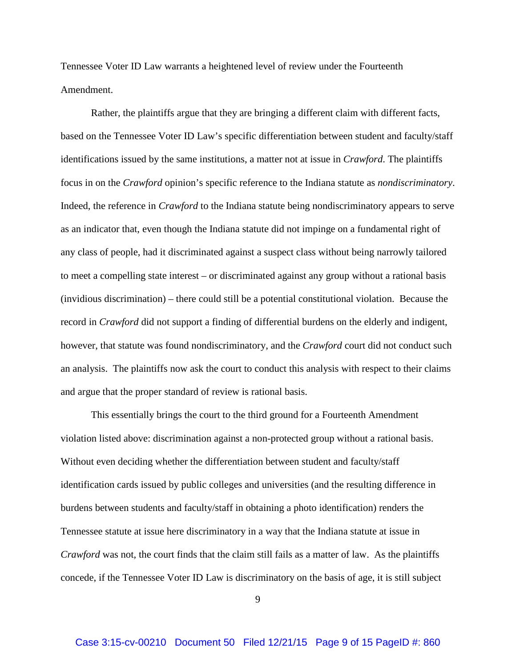Tennessee Voter ID Law warrants a heightened level of review under the Fourteenth Amendment.

Rather, the plaintiffs argue that they are bringing a different claim with different facts, based on the Tennessee Voter ID Law's specific differentiation between student and faculty/staff identifications issued by the same institutions, a matter not at issue in *Crawford*. The plaintiffs focus in on the *Crawford* opinion's specific reference to the Indiana statute as *nondiscriminatory*. Indeed, the reference in *Crawford* to the Indiana statute being nondiscriminatory appears to serve as an indicator that, even though the Indiana statute did not impinge on a fundamental right of any class of people, had it discriminated against a suspect class without being narrowly tailored to meet a compelling state interest – or discriminated against any group without a rational basis (invidious discrimination) – there could still be a potential constitutional violation. Because the record in *Crawford* did not support a finding of differential burdens on the elderly and indigent, however, that statute was found nondiscriminatory, and the *Crawford* court did not conduct such an analysis. The plaintiffs now ask the court to conduct this analysis with respect to their claims and argue that the proper standard of review is rational basis.

This essentially brings the court to the third ground for a Fourteenth Amendment violation listed above: discrimination against a non-protected group without a rational basis. Without even deciding whether the differentiation between student and faculty/staff identification cards issued by public colleges and universities (and the resulting difference in burdens between students and faculty/staff in obtaining a photo identification) renders the Tennessee statute at issue here discriminatory in a way that the Indiana statute at issue in *Crawford* was not, the court finds that the claim still fails as a matter of law. As the plaintiffs concede, if the Tennessee Voter ID Law is discriminatory on the basis of age, it is still subject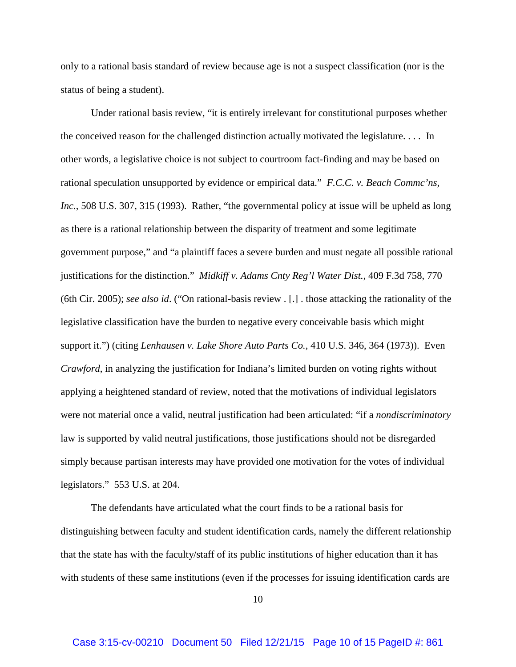only to a rational basis standard of review because age is not a suspect classification (nor is the status of being a student).

Under rational basis review, "it is entirely irrelevant for constitutional purposes whether the conceived reason for the challenged distinction actually motivated the legislature. . . . In other words, a legislative choice is not subject to courtroom fact-finding and may be based on rational speculation unsupported by evidence or empirical data." *F.C.C. v. Beach Commc'ns, Inc.*, 508 U.S. 307, 315 (1993). Rather, "the governmental policy at issue will be upheld as long as there is a rational relationship between the disparity of treatment and some legitimate government purpose," and "a plaintiff faces a severe burden and must negate all possible rational justifications for the distinction." *Midkiff v. Adams Cnty Reg'l Water Dist.*, 409 F.3d 758, 770 (6th Cir. 2005); *see also id*. ("On rational-basis review . [.] . those attacking the rationality of the legislative classification have the burden to negative every conceivable basis which might support it.") (citing *Lenhausen v. Lake Shore Auto Parts Co.*, 410 U.S. 346, 364 (1973)). Even *Crawford*, in analyzing the justification for Indiana's limited burden on voting rights without applying a heightened standard of review, noted that the motivations of individual legislators were not material once a valid, neutral justification had been articulated: "if a *nondiscriminatory* law is supported by valid neutral justifications, those justifications should not be disregarded simply because partisan interests may have provided one motivation for the votes of individual legislators." 553 U.S. at 204.

The defendants have articulated what the court finds to be a rational basis for distinguishing between faculty and student identification cards, namely the different relationship that the state has with the faculty/staff of its public institutions of higher education than it has with students of these same institutions (even if the processes for issuing identification cards are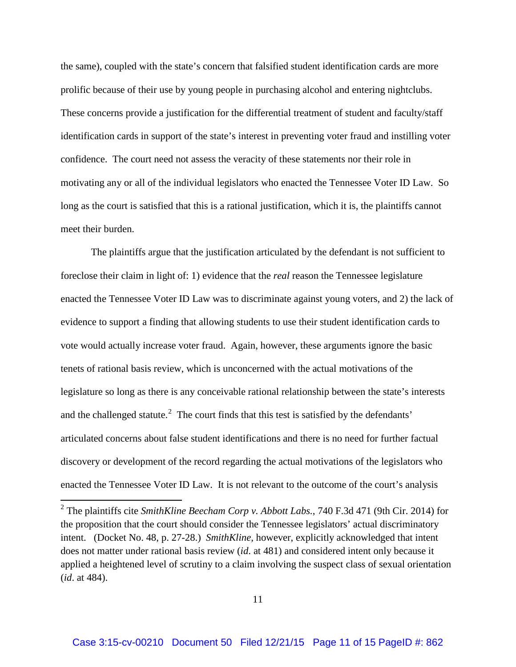the same), coupled with the state's concern that falsified student identification cards are more prolific because of their use by young people in purchasing alcohol and entering nightclubs. These concerns provide a justification for the differential treatment of student and faculty/staff identification cards in support of the state's interest in preventing voter fraud and instilling voter confidence. The court need not assess the veracity of these statements nor their role in motivating any or all of the individual legislators who enacted the Tennessee Voter ID Law. So long as the court is satisfied that this is a rational justification, which it is, the plaintiffs cannot meet their burden.

The plaintiffs argue that the justification articulated by the defendant is not sufficient to foreclose their claim in light of: 1) evidence that the *real* reason the Tennessee legislature enacted the Tennessee Voter ID Law was to discriminate against young voters, and 2) the lack of evidence to support a finding that allowing students to use their student identification cards to vote would actually increase voter fraud. Again, however, these arguments ignore the basic tenets of rational basis review, which is unconcerned with the actual motivations of the legislature so long as there is any conceivable rational relationship between the state's interests and the challenged statute.<sup>2</sup> The court finds that this test is satisfied by the defendants' articulated concerns about false student identifications and there is no need for further factual discovery or development of the record regarding the actual motivations of the legislators who enacted the Tennessee Voter ID Law. It is not relevant to the outcome of the court's analysis

 $\overline{\phantom{a}}$ 

<sup>2</sup> The plaintiffs cite *SmithKline Beecham Corp v. Abbott Labs.*, 740 F.3d 471 (9th Cir. 2014) for the proposition that the court should consider the Tennessee legislators' actual discriminatory intent. (Docket No. 48, p. 27-28.) *SmithKline*, however, explicitly acknowledged that intent does not matter under rational basis review (*id*. at 481) and considered intent only because it applied a heightened level of scrutiny to a claim involving the suspect class of sexual orientation (*id*. at 484).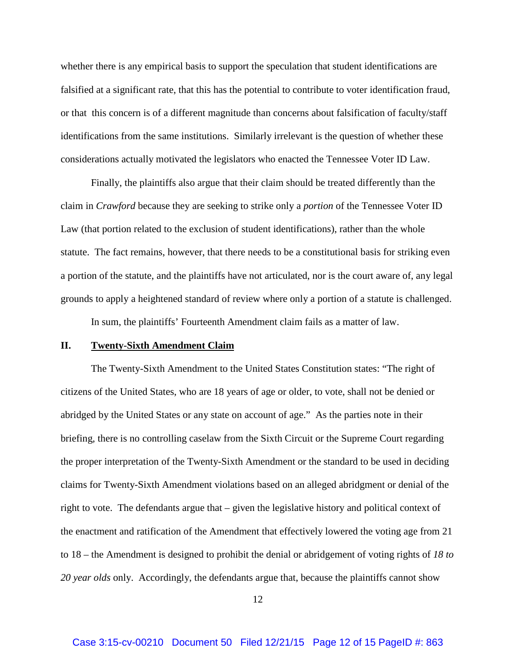whether there is any empirical basis to support the speculation that student identifications are falsified at a significant rate, that this has the potential to contribute to voter identification fraud, or that this concern is of a different magnitude than concerns about falsification of faculty/staff identifications from the same institutions. Similarly irrelevant is the question of whether these considerations actually motivated the legislators who enacted the Tennessee Voter ID Law.

Finally, the plaintiffs also argue that their claim should be treated differently than the claim in *Crawford* because they are seeking to strike only a *portion* of the Tennessee Voter ID Law (that portion related to the exclusion of student identifications), rather than the whole statute. The fact remains, however, that there needs to be a constitutional basis for striking even a portion of the statute, and the plaintiffs have not articulated, nor is the court aware of, any legal grounds to apply a heightened standard of review where only a portion of a statute is challenged.

In sum, the plaintiffs' Fourteenth Amendment claim fails as a matter of law.

### **II. Twenty-Sixth Amendment Claim**

The Twenty-Sixth Amendment to the United States Constitution states: "The right of citizens of the United States, who are 18 years of age or older, to vote, shall not be denied or abridged by the United States or any state on account of age." As the parties note in their briefing, there is no controlling caselaw from the Sixth Circuit or the Supreme Court regarding the proper interpretation of the Twenty-Sixth Amendment or the standard to be used in deciding claims for Twenty-Sixth Amendment violations based on an alleged abridgment or denial of the right to vote. The defendants argue that – given the legislative history and political context of the enactment and ratification of the Amendment that effectively lowered the voting age from 21 to 18 – the Amendment is designed to prohibit the denial or abridgement of voting rights of *18 to 20 year olds* only. Accordingly, the defendants argue that, because the plaintiffs cannot show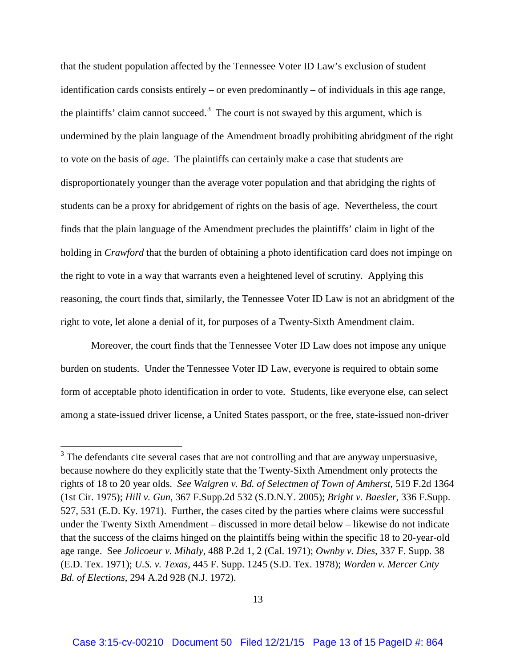that the student population affected by the Tennessee Voter ID Law's exclusion of student identification cards consists entirely – or even predominantly – of individuals in this age range, the plaintiffs' claim cannot succeed.<sup>3</sup> The court is not swayed by this argument, which is undermined by the plain language of the Amendment broadly prohibiting abridgment of the right to vote on the basis of *age*. The plaintiffs can certainly make a case that students are disproportionately younger than the average voter population and that abridging the rights of students can be a proxy for abridgement of rights on the basis of age. Nevertheless, the court finds that the plain language of the Amendment precludes the plaintiffs' claim in light of the holding in *Crawford* that the burden of obtaining a photo identification card does not impinge on the right to vote in a way that warrants even a heightened level of scrutiny. Applying this reasoning, the court finds that, similarly, the Tennessee Voter ID Law is not an abridgment of the right to vote, let alone a denial of it, for purposes of a Twenty-Sixth Amendment claim.

Moreover, the court finds that the Tennessee Voter ID Law does not impose any unique burden on students. Under the Tennessee Voter ID Law, everyone is required to obtain some form of acceptable photo identification in order to vote. Students, like everyone else, can select among a state-issued driver license, a United States passport, or the free, state-issued non-driver

l

 $3$  The defendants cite several cases that are not controlling and that are anyway unpersuasive, because nowhere do they explicitly state that the Twenty-Sixth Amendment only protects the rights of 18 to 20 year olds. *See Walgren v. Bd. of Selectmen of Town of Amherst*, 519 F.2d 1364 (1st Cir. 1975); *Hill v. Gun*, 367 F.Supp.2d 532 (S.D.N.Y. 2005); *Bright v. Baesler*, 336 F.Supp. 527, 531 (E.D. Ky. 1971). Further, the cases cited by the parties where claims were successful under the Twenty Sixth Amendment – discussed in more detail below – likewise do not indicate that the success of the claims hinged on the plaintiffs being within the specific 18 to 20-year-old age range. See *Jolicoeur v. Mihaly*, 488 P.2d 1, 2 (Cal. 1971); *Ownby v. Dies*, 337 F. Supp. 38 (E.D. Tex. 1971); *U.S. v. Texas*, 445 F. Supp. 1245 (S.D. Tex. 1978); *Worden v. Mercer Cnty Bd. of Elections*, 294 A.2d 928 (N.J. 1972).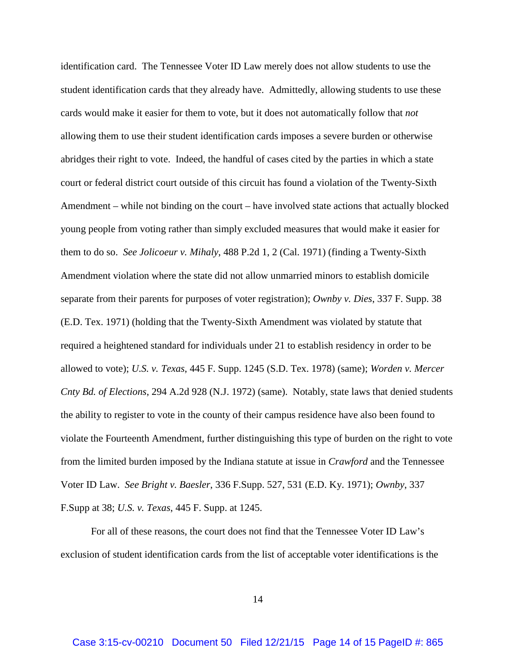identification card. The Tennessee Voter ID Law merely does not allow students to use the student identification cards that they already have. Admittedly, allowing students to use these cards would make it easier for them to vote, but it does not automatically follow that *not* allowing them to use their student identification cards imposes a severe burden or otherwise abridges their right to vote. Indeed, the handful of cases cited by the parties in which a state court or federal district court outside of this circuit has found a violation of the Twenty-Sixth Amendment – while not binding on the court – have involved state actions that actually blocked young people from voting rather than simply excluded measures that would make it easier for them to do so. *See Jolicoeur v. Mihaly*, 488 P.2d 1, 2 (Cal. 1971) (finding a Twenty-Sixth Amendment violation where the state did not allow unmarried minors to establish domicile separate from their parents for purposes of voter registration); *Ownby v. Dies*, 337 F. Supp. 38 (E.D. Tex. 1971) (holding that the Twenty-Sixth Amendment was violated by statute that required a heightened standard for individuals under 21 to establish residency in order to be allowed to vote); *U.S. v. Texas*, 445 F. Supp. 1245 (S.D. Tex. 1978) (same); *Worden v. Mercer Cnty Bd. of Elections*, 294 A.2d 928 (N.J. 1972) (same). Notably, state laws that denied students the ability to register to vote in the county of their campus residence have also been found to violate the Fourteenth Amendment, further distinguishing this type of burden on the right to vote from the limited burden imposed by the Indiana statute at issue in *Crawford* and the Tennessee Voter ID Law. *See Bright v. Baesler*, 336 F.Supp. 527, 531 (E.D. Ky. 1971); *Ownby*, 337 F.Supp at 38; *U.S. v. Texas*, 445 F. Supp. at 1245.

For all of these reasons, the court does not find that the Tennessee Voter ID Law's exclusion of student identification cards from the list of acceptable voter identifications is the